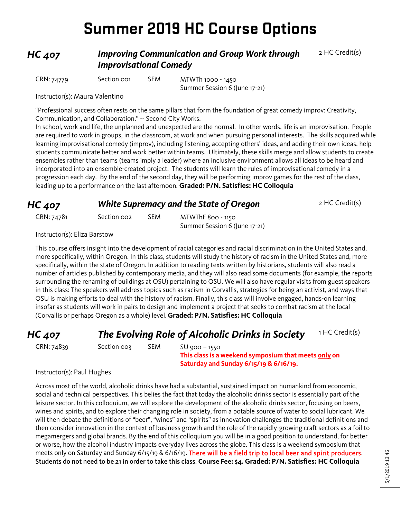# **Summer 2019 HC Course Options**

*HC 407 Improving Communication and Group Work through Improvisational Comedy*

2 HC Credit(s)

CRN: 74779 Section 001 SEM MTWTh 1000 - 1450

Summer Session 6 (June 17-21)

Instructor(s): Maura Valentino

"Professional success often rests on the same pillars that form the foundation of great comedy improv: Creativity, Communication, and Collaboration." -- Second City Works.

In school, work and life, the unplanned and unexpected are the normal. In other words, life is an improvisation. People are required to work in groups, in the classroom, at work and when pursuing personal interests. The skills acquired while learning improvisational comedy (improv), including listening, accepting others' ideas, and adding their own ideas, help students communicate better and work better within teams. Ultimately, these skills merge and allow students to create ensembles rather than teams (teams imply a leader) where an inclusive environment allows all ideas to be heard and incorporated into an ensemble-created project. The students will learn the rules of improvisational comedy in a progression each day. By the end of the second day, they will be performing improv games for the rest of the class, leading up to a performance on the last afternoon. **Graded: P/N. Satisfies: HC Colloquia**

# **HC 407** *White Supremacy and the State of Oregon* 2 HC Credit(s)

CRN: 74781 Section 002 SEM MTWThF 800 - 1150 Summer Session 6 (June 17-21)

Instructor(s): Eliza Barstow

This course offers insight into the development of racial categories and racial discrimination in the United States and, more specifically, within Oregon. In this class, students will study the history of racism in the United States and, more specifically, within the state of Oregon. In addition to reading texts written by historians, students will also read a number of articles published by contemporary media, and they will also read some documents (for example, the reports surrounding the renaming of buildings at OSU) pertaining to OSU. We will also have regular visits from guest speakers in this class: The speakers will address topics such as racism in Corvallis, strategies for being an activist, and ways that OSU is making efforts to deal with the history of racism. Finally, this class will involve engaged, hands-on learning insofar as students will work in pairs to design and implement a project that seeks to combat racism at the local (Corvallis or perhaps Oregon as a whole) level. **Graded: P/N. Satisfies: HC Colloquia**

| <b>HC 407</b> | The Evolving Role of Alcoholic Drinks in Society |            |                                                                                                                   | 1 HC Credit(s) |
|---------------|--------------------------------------------------|------------|-------------------------------------------------------------------------------------------------------------------|----------------|
| CRN: 74839    | Section oos                                      | <b>SEM</b> | $SU$ 900 – 1550<br>This class is a weekend symposium that meets only on<br>Saturday and Sunday 6/15/19 & 6/16/19. |                |

### Instructor(s): Paul Hughes

Across most of the world, alcoholic drinks have had a substantial, sustained impact on humankind from economic, social and technical perspectives. This belies the fact that today the alcoholic drinks sector is essentially part of the leisure sector. In this colloquium, we will explore the development of the alcoholic drinks sector, focusing on beers, wines and spirits, and to explore their changing role in society, from a potable source of water to social lubricant. We will then debate the definitions of "beer", "wines" and "spirits" as innovation challenges the traditional definitions and then consider innovation in the context of business growth and the role of the rapidly-growing craft sectors as a foil to megamergers and global brands. By the end of this colloquium you will be in a good position to understand, for better or worse, how the alcohol industry impacts everyday lives across the globe. This class is a weekend symposium that meets only on Saturday and Sunday 6/15/19 & 6/16/19. There will be a field trip to local beer and spirit producers. Students do not need to be 21 in order to take this class. **Course Fee: \$4. Graded: P/N. Satisfies: HC Colloquia**